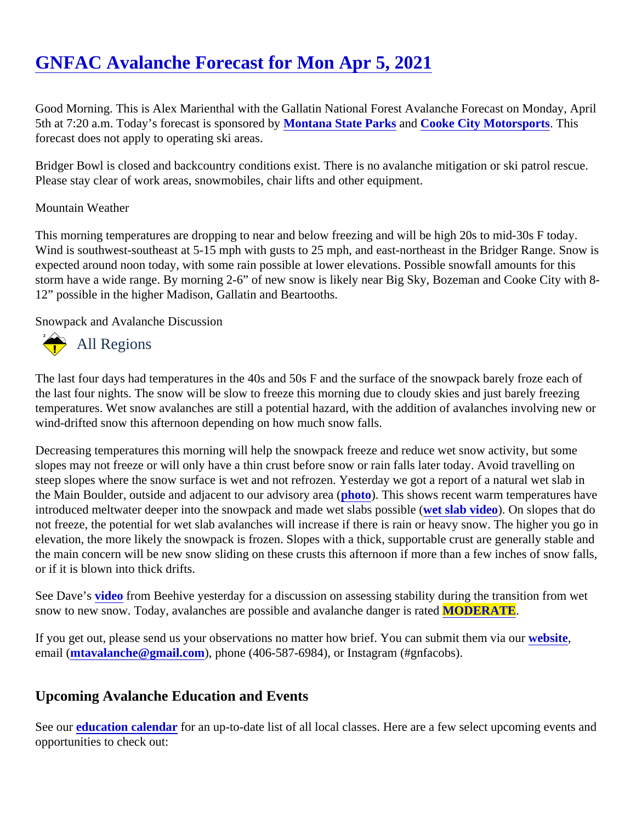## [GNFAC Avalanche Forecast for Mon Apr 5, 2021](https://www.mtavalanche.com/forecast/21/04/05)

Good Morning. This is Alex Marienthal with the Gallatin National Forest Avalanche Forecast on Monday, April 5th at 7:20 a.m. Today's forecast is sponsore Moytana State Parks and [Cooke City Motorsports.](http://www.cookecitymotorsports.com/) This forecast does not apply to operating ski areas.

Bridger Bowl is closed and backcountry conditions exist. There is no avalanche mitigation or ski patrol rescue Please stay clear of work areas, snowmobiles, chair lifts and other equipment.

## Mountain Weather

This morning temperatures are dropping to near and below freezing and will be high 20s to mid-30s F today. Wind is southwest-southeast at 5-15 mph with gusts to 25 mph, and east-northeast in the Bridger Range. Snow expected around noon today, with some rain possible at lower elevations. Possible snowfall amounts for this storm have a wide range. By morning 2-6" of new snow is likely near Big Sky, Bozeman and Cooke City with 12" possible in the higher Madison, Gallatin and Beartooths.

Snowpack and Avalanche Discussion

## All Regions

The last four days had temperatures in the 40s and 50s F and the surface of the snowpack barely froze each the last four nights. The snow will be slow to freeze this morning due to cloudy skies and just barely freezing temperatures. Wet snow avalanches are still a potential hazard, with the addition of avalanches involving new wind-drifted snow this afternoon depending on how much snow falls.

Decreasing temperatures this morning will help the snowpack freeze and reduce wet snow activity, but some slopes may not freeze or will only have a thin crust before snow or rain falls later today. Avoid travelling on steep slopes where the snow surface is wet and not refrozen. Yesterday we got a report of a natural wet slab the Main Boulder, outside and adjacent to our advisory **area** (a). This shows recent warm temperatures have introduced meltwater deeper into the snowpack and made wet slabs possible ( wided). On slopes that do not freeze, the potential for wet slab avalanches will increase if there is rain or heavy snow. The higher you go elevation, the more likely the snowpack is frozen. Slopes with a thick, supportable crust are generally stable a the main concern will be new snow sliding on these crusts this afternoon if more than a few inches of snow fa or if it is blown into thick drifts.

See Dave'[s video](https://www.youtube.com/watch?v=gPpeLRBv-Qo&list=PLXu5151nmAvQDzKmH5K3ZS8Gg3DzwsZ3O&index=2) from Beehive yesterday for a discussion on assessing stability during the transition from wet snow to new snow. Today, avalanches are possible and avalanche dange MODERATE.

If you get out, please send us your observations no matter how brief. You can submit them velasing email [\(mtavalanche@gmail.com](mailto:mtavalanche@gmail.com)), phone (406-587-6984), or Instagram (#gnfacobs).

## Upcoming Avalanche Education and Events

See ou[r education calendar](https://www.mtavalanche.com/education)for an up-to-date list of all local classes. Here are a few select upcoming events an opportunities to check out: